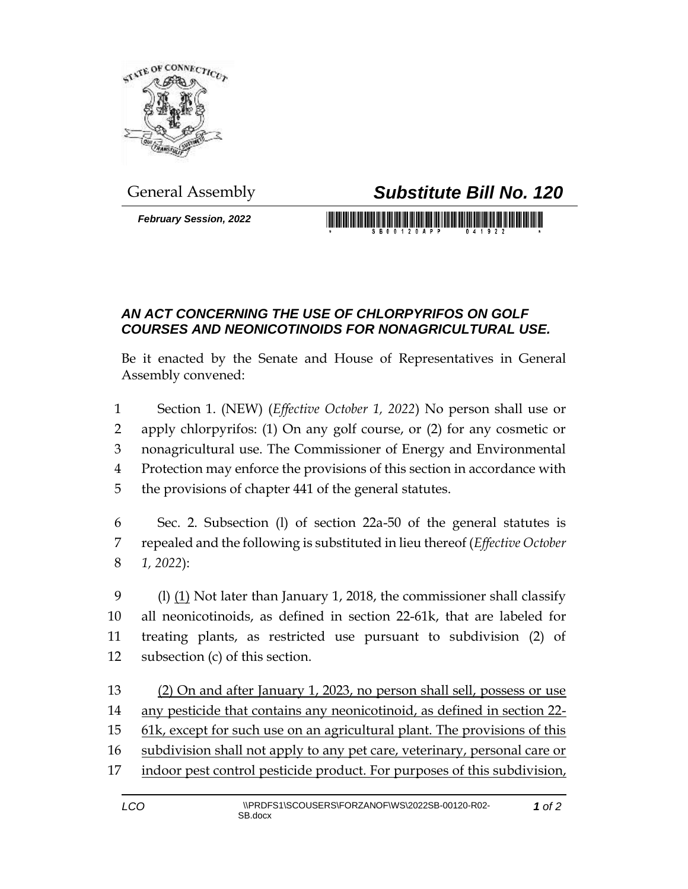

*February Session, 2022*

## General Assembly *Substitute Bill No. 120*

<u> III bilin bilin bilin bilin bilin bilin bilin bilin bilin bilin bilin bilin bilin bilin bilin bilin bilin bi</u>

## *AN ACT CONCERNING THE USE OF CHLORPYRIFOS ON GOLF COURSES AND NEONICOTINOIDS FOR NONAGRICULTURAL USE.*

Be it enacted by the Senate and House of Representatives in General Assembly convened:

 Section 1. (NEW) (*Effective October 1, 2022*) No person shall use or apply chlorpyrifos: (1) On any golf course, or (2) for any cosmetic or nonagricultural use. The Commissioner of Energy and Environmental Protection may enforce the provisions of this section in accordance with the provisions of chapter 441 of the general statutes.

6 Sec. 2. Subsection (l) of section 22a-50 of the general statutes is 7 repealed and the following is substituted in lieu thereof (*Effective October*  8 *1, 2022*):

9 (l)  $(1)$  Not later than January 1, 2018, the commissioner shall classify all neonicotinoids, as defined in section 22-61k, that are labeled for treating plants, as restricted use pursuant to subdivision (2) of subsection (c) of this section.

 (2) On and after January 1, 2023, no person shall sell, possess or use any pesticide that contains any neonicotinoid, as defined in section 22- 61k, except for such use on an agricultural plant. The provisions of this subdivision shall not apply to any pet care, veterinary, personal care or 17 indoor pest control pesticide product. For purposes of this subdivision,